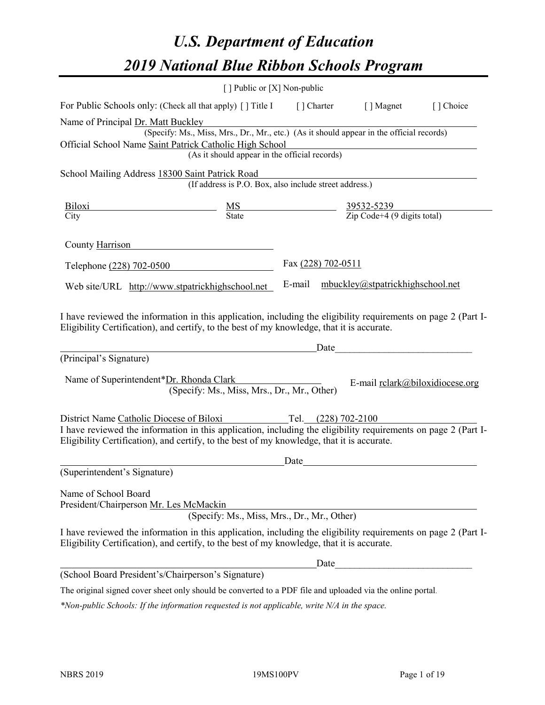# *U.S. Department of Education 2019 National Blue Ribbon Schools Program*

|                                                                                                                                                                                                              | [ ] Public or [X] Non-public                                                             |                     |                                                         |           |
|--------------------------------------------------------------------------------------------------------------------------------------------------------------------------------------------------------------|------------------------------------------------------------------------------------------|---------------------|---------------------------------------------------------|-----------|
| For Public Schools only: (Check all that apply) [ ] Title I [ ] Charter                                                                                                                                      |                                                                                          |                     | [ ] Magnet                                              | [] Choice |
| Name of Principal Dr. Matt Buckley                                                                                                                                                                           |                                                                                          |                     |                                                         |           |
|                                                                                                                                                                                                              | (Specify: Ms., Miss, Mrs., Dr., Mr., etc.) (As it should appear in the official records) |                     |                                                         |           |
| Official School Name Saint Patrick Catholic High School                                                                                                                                                      |                                                                                          |                     |                                                         |           |
|                                                                                                                                                                                                              | (As it should appear in the official records)                                            |                     |                                                         |           |
| School Mailing Address 18300 Saint Patrick Road                                                                                                                                                              |                                                                                          |                     |                                                         |           |
|                                                                                                                                                                                                              | (If address is P.O. Box, also include street address.)                                   |                     |                                                         |           |
| Biloxi                                                                                                                                                                                                       | $\frac{MS}{State}$                                                                       |                     | $\frac{39532-5239}{\text{Zip Code}+4 (9 digits total)}$ |           |
| City                                                                                                                                                                                                         |                                                                                          |                     |                                                         |           |
| County Harrison                                                                                                                                                                                              |                                                                                          |                     |                                                         |           |
| Telephone (228) 702-0500                                                                                                                                                                                     |                                                                                          | Fax (228) 702-0511  |                                                         |           |
| Web site/URL http://www.stpatrickhighschool.net                                                                                                                                                              |                                                                                          |                     | E-mail mbuckley@stpatrickhighschool.net                 |           |
| Eligibility Certification), and certify, to the best of my knowledge, that it is accurate.<br>(Principal's Signature)                                                                                        |                                                                                          | Date                |                                                         |           |
| Name of Superintendent*Dr. Rhonda Clark                                                                                                                                                                      | (Specify: Ms., Miss, Mrs., Dr., Mr., Other)                                              |                     | E-mail relark@biloxidiocese.org                         |           |
| District Name Catholic Diocese of Biloxi                                                                                                                                                                     |                                                                                          | Tel. (228) 702-2100 |                                                         |           |
| I have reviewed the information in this application, including the eligibility requirements on page 2 (Part I-<br>Eligibility Certification), and certify, to the best of my knowledge, that it is accurate. |                                                                                          |                     |                                                         |           |
|                                                                                                                                                                                                              |                                                                                          | Date                |                                                         |           |
| (Superintendent's Signature)                                                                                                                                                                                 |                                                                                          |                     |                                                         |           |
| Name of School Board<br>President/Chairperson Mr. Les McMackin                                                                                                                                               | (Specify: Ms., Miss, Mrs., Dr., Mr., Other)                                              |                     |                                                         |           |
| I have reviewed the information in this application, including the eligibility requirements on page 2 (Part I-<br>Eligibility Certification), and certify, to the best of my knowledge, that it is accurate. |                                                                                          |                     |                                                         |           |
|                                                                                                                                                                                                              |                                                                                          | Date                |                                                         |           |
| (School Board President's/Chairperson's Signature)                                                                                                                                                           |                                                                                          |                     |                                                         |           |
| The original signed cover sheet only should be converted to a PDF file and uploaded via the online portal.                                                                                                   |                                                                                          |                     |                                                         |           |

*\*Non-public Schools: If the information requested is not applicable, write N/A in the space.*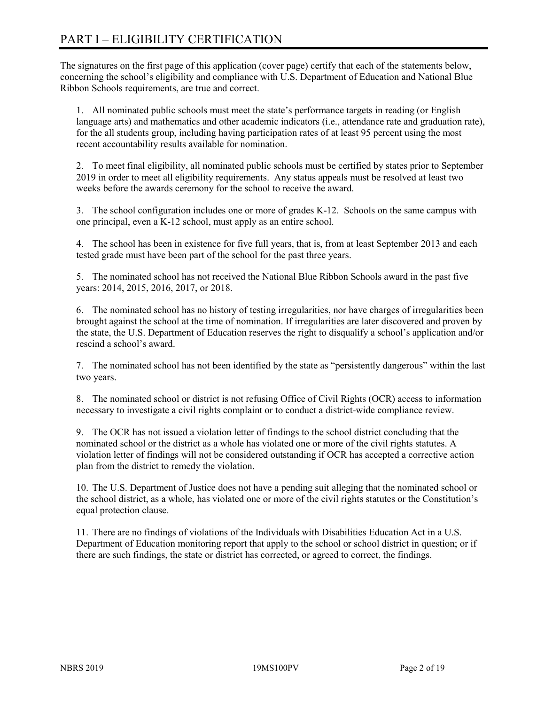# PART I – ELIGIBILITY CERTIFICATION

The signatures on the first page of this application (cover page) certify that each of the statements below, concerning the school's eligibility and compliance with U.S. Department of Education and National Blue Ribbon Schools requirements, are true and correct.

1. All nominated public schools must meet the state's performance targets in reading (or English language arts) and mathematics and other academic indicators (i.e., attendance rate and graduation rate), for the all students group, including having participation rates of at least 95 percent using the most recent accountability results available for nomination.

2. To meet final eligibility, all nominated public schools must be certified by states prior to September 2019 in order to meet all eligibility requirements. Any status appeals must be resolved at least two weeks before the awards ceremony for the school to receive the award.

3. The school configuration includes one or more of grades K-12. Schools on the same campus with one principal, even a K-12 school, must apply as an entire school.

4. The school has been in existence for five full years, that is, from at least September 2013 and each tested grade must have been part of the school for the past three years.

5. The nominated school has not received the National Blue Ribbon Schools award in the past five years: 2014, 2015, 2016, 2017, or 2018.

6. The nominated school has no history of testing irregularities, nor have charges of irregularities been brought against the school at the time of nomination. If irregularities are later discovered and proven by the state, the U.S. Department of Education reserves the right to disqualify a school's application and/or rescind a school's award.

7. The nominated school has not been identified by the state as "persistently dangerous" within the last two years.

8. The nominated school or district is not refusing Office of Civil Rights (OCR) access to information necessary to investigate a civil rights complaint or to conduct a district-wide compliance review.

9. The OCR has not issued a violation letter of findings to the school district concluding that the nominated school or the district as a whole has violated one or more of the civil rights statutes. A violation letter of findings will not be considered outstanding if OCR has accepted a corrective action plan from the district to remedy the violation.

10. The U.S. Department of Justice does not have a pending suit alleging that the nominated school or the school district, as a whole, has violated one or more of the civil rights statutes or the Constitution's equal protection clause.

11. There are no findings of violations of the Individuals with Disabilities Education Act in a U.S. Department of Education monitoring report that apply to the school or school district in question; or if there are such findings, the state or district has corrected, or agreed to correct, the findings.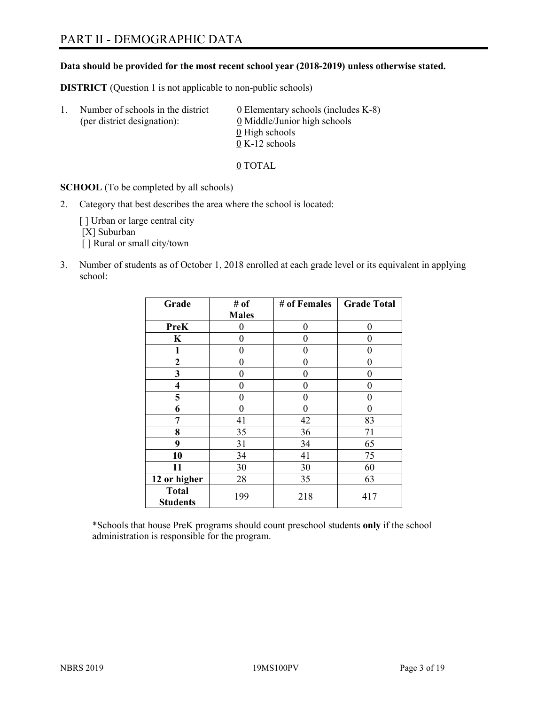## PART II - DEMOGRAPHIC DATA

#### **Data should be provided for the most recent school year (2018-2019) unless otherwise stated.**

**DISTRICT** (Question 1 is not applicable to non-public schools)

| -1. | Number of schools in the district<br>(per district designation): | $\underline{0}$ Elementary schools (includes K-8)<br>0 Middle/Junior high schools |
|-----|------------------------------------------------------------------|-----------------------------------------------------------------------------------|
|     |                                                                  | 0 High schools                                                                    |
|     |                                                                  | $0 K-12$ schools                                                                  |

0 TOTAL

**SCHOOL** (To be completed by all schools)

2. Category that best describes the area where the school is located:

[] Urban or large central city [X] Suburban [] Rural or small city/town

3. Number of students as of October 1, 2018 enrolled at each grade level or its equivalent in applying school:

| Grade                           | # of         | # of Females | <b>Grade Total</b> |
|---------------------------------|--------------|--------------|--------------------|
|                                 | <b>Males</b> |              |                    |
| PreK                            | 0            | $\theta$     | 0                  |
| K                               | 0            | 0            | 0                  |
| 1                               | 0            | 0            | 0                  |
| 2                               | 0            | 0            | 0                  |
| 3                               | 0            | 0            | 0                  |
| $\overline{\mathbf{4}}$         | 0            | 0            | 0                  |
| 5                               | 0            | 0            | 0                  |
| 6                               | 0            | 0            | 0                  |
| 7                               | 41           | 42           | 83                 |
| 8                               | 35           | 36           | 71                 |
| 9                               | 31           | 34           | 65                 |
| 10                              | 34           | 41           | 75                 |
| 11                              | 30           | 30           | 60                 |
| 12 or higher                    | 28           | 35           | 63                 |
| <b>Total</b><br><b>Students</b> | 199          | 218          | 417                |

\*Schools that house PreK programs should count preschool students **only** if the school administration is responsible for the program.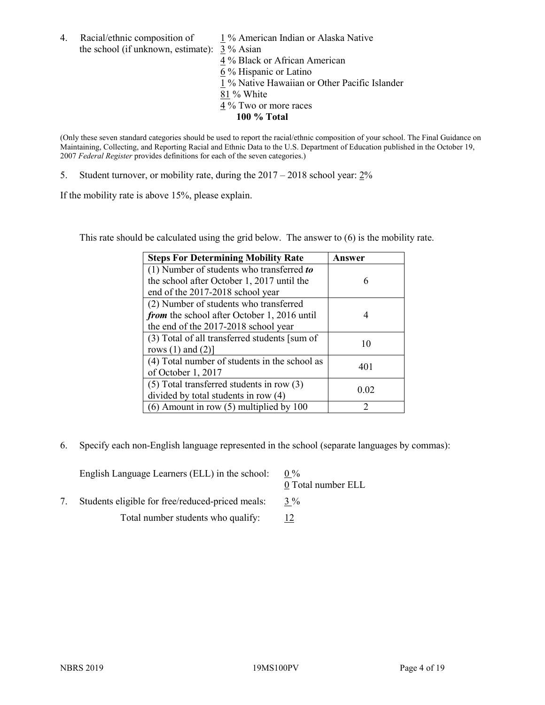4. Racial/ethnic composition of  $1\%$  American Indian or Alaska Native the school (if unknown, estimate): 3 % Asian

4 % Black or African American  $\frac{6}{6}$ % Hispanic or Latino 1 % Native Hawaiian or Other Pacific Islander 81 % White 4 % Two or more races **100 % Total**

(Only these seven standard categories should be used to report the racial/ethnic composition of your school. The Final Guidance on Maintaining, Collecting, and Reporting Racial and Ethnic Data to the U.S. Department of Education published in the October 19, 2007 *Federal Register* provides definitions for each of the seven categories.)

5. Student turnover, or mobility rate, during the  $2017 - 2018$  school year:  $2\%$ 

If the mobility rate is above 15%, please explain.

This rate should be calculated using the grid below. The answer to (6) is the mobility rate.

| <b>Steps For Determining Mobility Rate</b>    | Answer |
|-----------------------------------------------|--------|
| (1) Number of students who transferred to     |        |
| the school after October 1, 2017 until the    | 6      |
| end of the 2017-2018 school year              |        |
| (2) Number of students who transferred        |        |
| from the school after October 1, 2016 until   |        |
| the end of the 2017-2018 school year          |        |
| (3) Total of all transferred students [sum of | 10     |
| rows $(1)$ and $(2)$ ]                        |        |
| (4) Total number of students in the school as | 401    |
| of October 1, 2017                            |        |
| $(5)$ Total transferred students in row $(3)$ | 0.02   |
| divided by total students in row (4)          |        |
| $(6)$ Amount in row $(5)$ multiplied by 100   | 2      |

6. Specify each non-English language represented in the school (separate languages by commas):

| English Language Learners (ELL) in the school:   | $0\%$<br>0 Total number ELL |
|--------------------------------------------------|-----------------------------|
| Students eligible for free/reduced-priced meals: | $3\%$                       |
| Total number students who qualify:               |                             |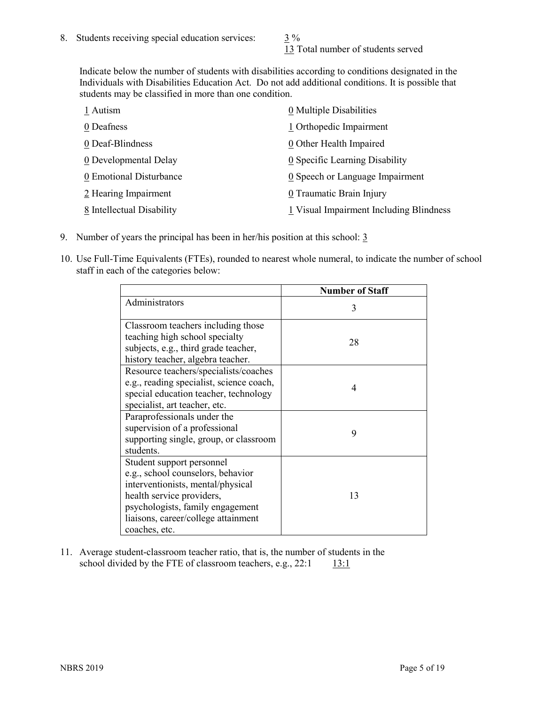13 Total number of students served

Indicate below the number of students with disabilities according to conditions designated in the Individuals with Disabilities Education Act. Do not add additional conditions. It is possible that students may be classified in more than one condition.

| 1 Autism                  | 0 Multiple Disabilities                 |
|---------------------------|-----------------------------------------|
| 0 Deafness                | 1 Orthopedic Impairment                 |
| 0 Deaf-Blindness          | 0 Other Health Impaired                 |
| 0 Developmental Delay     | 0 Specific Learning Disability          |
| 0 Emotional Disturbance   | 0 Speech or Language Impairment         |
| 2 Hearing Impairment      | 0 Traumatic Brain Injury                |
| 8 Intellectual Disability | 1 Visual Impairment Including Blindness |

- 9. Number of years the principal has been in her/his position at this school: 3
- 10. Use Full-Time Equivalents (FTEs), rounded to nearest whole numeral, to indicate the number of school staff in each of the categories below:

|                                                                                                                                                                                                                              | <b>Number of Staff</b> |
|------------------------------------------------------------------------------------------------------------------------------------------------------------------------------------------------------------------------------|------------------------|
| Administrators                                                                                                                                                                                                               | 3                      |
| Classroom teachers including those<br>teaching high school specialty<br>subjects, e.g., third grade teacher,<br>history teacher, algebra teacher.                                                                            | 28                     |
| Resource teachers/specialists/coaches<br>e.g., reading specialist, science coach,<br>special education teacher, technology<br>specialist, art teacher, etc.                                                                  | 4                      |
| Paraprofessionals under the<br>supervision of a professional<br>supporting single, group, or classroom<br>students.                                                                                                          | 9                      |
| Student support personnel<br>e.g., school counselors, behavior<br>interventionists, mental/physical<br>health service providers,<br>psychologists, family engagement<br>liaisons, career/college attainment<br>coaches, etc. | 13                     |

11. Average student-classroom teacher ratio, that is, the number of students in the school divided by the FTE of classroom teachers, e.g.,  $22:1$  13:1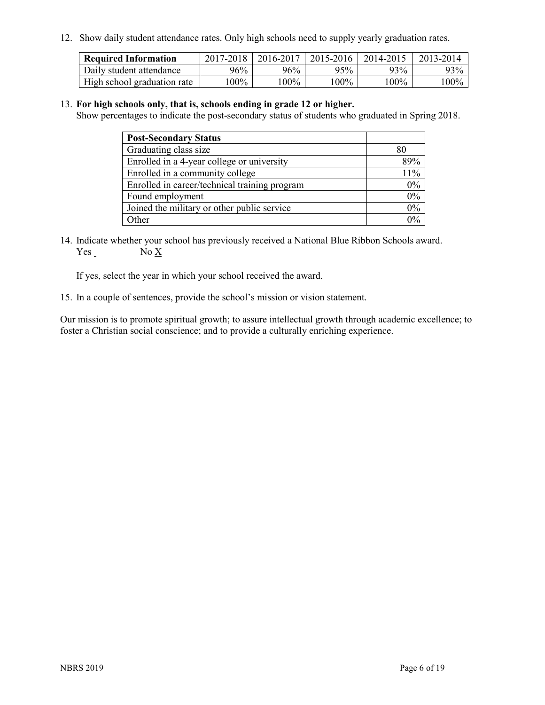12. Show daily student attendance rates. Only high schools need to supply yearly graduation rates.

| <b>Required Information</b> | 2017-2018 | 2016-2017 | 2015-2016 | 2014-2015 | 2013-2014 |
|-----------------------------|-----------|-----------|-----------|-----------|-----------|
| Daily student attendance    | 96%       | 96%       | 95%       | 93%       | 93%       |
| High school graduation rate | l00%      | $00\%$    | $00\%$    | $100\%$   | $100\%$   |

#### 13. **For high schools only, that is, schools ending in grade 12 or higher.**

Show percentages to indicate the post-secondary status of students who graduated in Spring 2018.

| <b>Post-Secondary Status</b>                  |       |
|-----------------------------------------------|-------|
| Graduating class size                         |       |
| Enrolled in a 4-year college or university    | 89%   |
| Enrolled in a community college               | 11%   |
| Enrolled in career/technical training program | $0\%$ |
| Found employment                              | 0%    |
| Joined the military or other public service   | 0%    |
| Other                                         |       |

14. Indicate whether your school has previously received a National Blue Ribbon Schools award. Yes No X

If yes, select the year in which your school received the award.

15. In a couple of sentences, provide the school's mission or vision statement.

Our mission is to promote spiritual growth; to assure intellectual growth through academic excellence; to foster a Christian social conscience; and to provide a culturally enriching experience.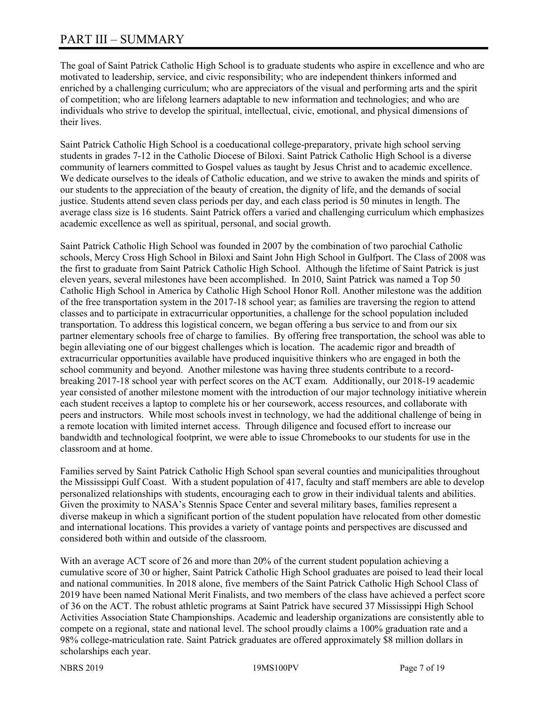## PART III – SUMMARY

The goal of Saint Patrick Catholic High School is to graduate students who aspire in excellence and who are motivated to leadership, service, and civic responsibility; who are independent thinkers informed and enriched by a challenging curriculum; who are appreciators of the visual and performing arts and the spirit of competition; who are lifelong learners adaptable to new information and technologies; and who are individuals who strive to develop the spiritual, intellectual, civic, emotional, and physical dimensions of their lives.

Saint Patrick Catholic High School is a coeducational college-preparatory, private high school serving students in grades 7-12 in the Catholic Diocese of Biloxi. Saint Patrick Catholic High School is a diverse community of learners committed to Gospel values as taught by Jesus Christ and to academic excellence. We dedicate ourselves to the ideals of Catholic education, and we strive to awaken the minds and spirits of our students to the appreciation of the beauty of creation, the dignity of life, and the demands of social justice. Students attend seven class periods per day, and each class period is 50 minutes in length. The average class size is 16 students. Saint Patrick offers a varied and challenging curriculum which emphasizes academic excellence as well as spiritual, personal, and social growth.

Saint Patrick Catholic High School was founded in 2007 by the combination of two parochial Catholic schools, Mercy Cross High School in Biloxi and Saint John High School in Gulfport. The Class of 2008 was the first to graduate from Saint Patrick Catholic High School. Although the lifetime of Saint Patrick is just eleven years, several milestones have been accomplished. In 2010, Saint Patrick was named a Top 50 Catholic High School in America by Catholic High School Honor Roll. Another milestone was the addition of the free transportation system in the 2017-18 school year; as families are traversing the region to attend classes and to participate in extracurricular opportunities, a challenge for the school population included transportation. To address this logistical concern, we began offering a bus service to and from our six partner elementary schools free of charge to families. By offering free transportation, the school was able to begin alleviating one of our biggest challenges which is location. The academic rigor and breadth of extracurricular opportunities available have produced inquisitive thinkers who are engaged in both the school community and beyond. Another milestone was having three students contribute to a recordbreaking 2017-18 school year with perfect scores on the ACT exam. Additionally, our 2018-19 academic year consisted of another milestone moment with the introduction of our major technology initiative wherein each student receives a laptop to complete his or her coursework, access resources, and collaborate with peers and instructors. While most schools invest in technology, we had the additional challenge of being in a remote location with limited internet access. Through diligence and focused effort to increase our bandwidth and technological footprint, we were able to issue Chromebooks to our students for use in the classroom and at home.

Families served by Saint Patrick Catholic High School span several counties and municipalities throughout the Mississippi Gulf Coast. With a student population of 417, faculty and staff members are able to develop personalized relationships with students, encouraging each to grow in their individual talents and abilities. Given the proximity to NASA's Stennis Space Center and several military bases, families represent a diverse makeup in which a significant portion of the student population have relocated from other domestic and international locations. This provides a variety of vantage points and perspectives are discussed and considered both within and outside of the classroom.

With an average ACT score of 26 and more than 20% of the current student population achieving a cumulative score of 30 or higher, Saint Patrick Catholic High School graduates are poised to lead their local and national communities. In 2018 alone, five members of the Saint Patrick Catholic High School Class of 2019 have been named National Merit Finalists, and two members of the class have achieved a perfect score of 36 on the ACT. The robust athletic programs at Saint Patrick have secured 37 Mississippi High School Activities Association State Championships. Academic and leadership organizations are consistently able to compete on a regional, state and national level. The school proudly claims a 100% graduation rate and a 98% college-matriculation rate. Saint Patrick graduates are offered approximately \$8 million dollars in scholarships each year.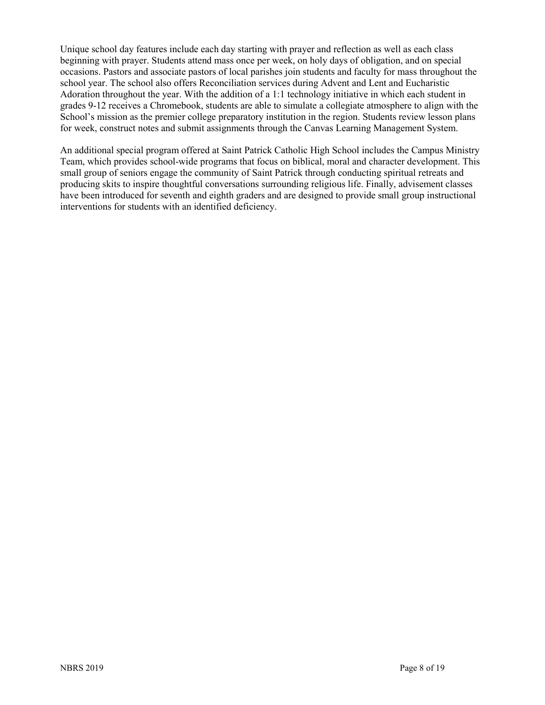Unique school day features include each day starting with prayer and reflection as well as each class beginning with prayer. Students attend mass once per week, on holy days of obligation, and on special occasions. Pastors and associate pastors of local parishes join students and faculty for mass throughout the school year. The school also offers Reconciliation services during Advent and Lent and Eucharistic Adoration throughout the year. With the addition of a 1:1 technology initiative in which each student in grades 9-12 receives a Chromebook, students are able to simulate a collegiate atmosphere to align with the School's mission as the premier college preparatory institution in the region. Students review lesson plans for week, construct notes and submit assignments through the Canvas Learning Management System.

An additional special program offered at Saint Patrick Catholic High School includes the Campus Ministry Team, which provides school-wide programs that focus on biblical, moral and character development. This small group of seniors engage the community of Saint Patrick through conducting spiritual retreats and producing skits to inspire thoughtful conversations surrounding religious life. Finally, advisement classes have been introduced for seventh and eighth graders and are designed to provide small group instructional interventions for students with an identified deficiency.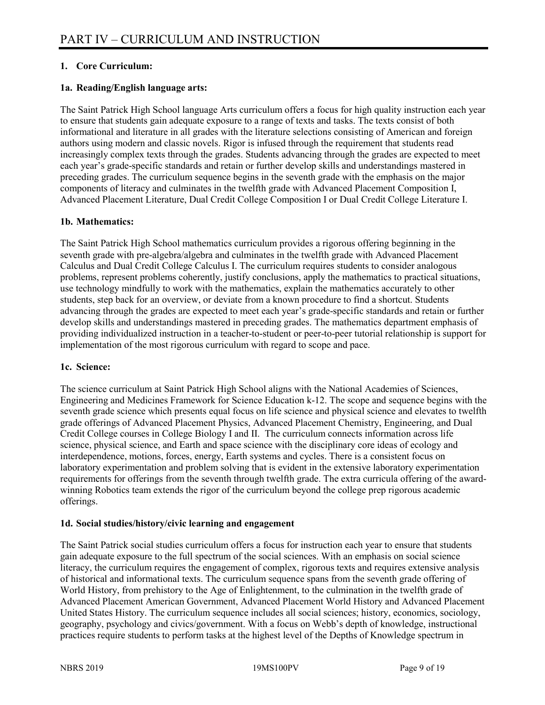#### **1. Core Curriculum:**

#### **1a. Reading/English language arts:**

The Saint Patrick High School language Arts curriculum offers a focus for high quality instruction each year to ensure that students gain adequate exposure to a range of texts and tasks. The texts consist of both informational and literature in all grades with the literature selections consisting of American and foreign authors using modern and classic novels. Rigor is infused through the requirement that students read increasingly complex texts through the grades. Students advancing through the grades are expected to meet each year's grade-specific standards and retain or further develop skills and understandings mastered in preceding grades. The curriculum sequence begins in the seventh grade with the emphasis on the major components of literacy and culminates in the twelfth grade with Advanced Placement Composition I, Advanced Placement Literature, Dual Credit College Composition I or Dual Credit College Literature I.

#### **1b. Mathematics:**

The Saint Patrick High School mathematics curriculum provides a rigorous offering beginning in the seventh grade with pre-algebra/algebra and culminates in the twelfth grade with Advanced Placement Calculus and Dual Credit College Calculus I. The curriculum requires students to consider analogous problems, represent problems coherently, justify conclusions, apply the mathematics to practical situations, use technology mindfully to work with the mathematics, explain the mathematics accurately to other students, step back for an overview, or deviate from a known procedure to find a shortcut. Students advancing through the grades are expected to meet each year's grade-specific standards and retain or further develop skills and understandings mastered in preceding grades. The mathematics department emphasis of providing individualized instruction in a teacher-to-student or peer-to-peer tutorial relationship is support for implementation of the most rigorous curriculum with regard to scope and pace.

#### **1c. Science:**

The science curriculum at Saint Patrick High School aligns with the National Academies of Sciences, Engineering and Medicines Framework for Science Education k-12. The scope and sequence begins with the seventh grade science which presents equal focus on life science and physical science and elevates to twelfth grade offerings of Advanced Placement Physics, Advanced Placement Chemistry, Engineering, and Dual Credit College courses in College Biology I and II. The curriculum connects information across life science, physical science, and Earth and space science with the disciplinary core ideas of ecology and interdependence, motions, forces, energy, Earth systems and cycles. There is a consistent focus on laboratory experimentation and problem solving that is evident in the extensive laboratory experimentation requirements for offerings from the seventh through twelfth grade. The extra curricula offering of the awardwinning Robotics team extends the rigor of the curriculum beyond the college prep rigorous academic offerings.

#### **1d. Social studies/history/civic learning and engagement**

The Saint Patrick social studies curriculum offers a focus for instruction each year to ensure that students gain adequate exposure to the full spectrum of the social sciences. With an emphasis on social science literacy, the curriculum requires the engagement of complex, rigorous texts and requires extensive analysis of historical and informational texts. The curriculum sequence spans from the seventh grade offering of World History, from prehistory to the Age of Enlightenment, to the culmination in the twelfth grade of Advanced Placement American Government, Advanced Placement World History and Advanced Placement United States History. The curriculum sequence includes all social sciences; history, economics, sociology, geography, psychology and civics/government. With a focus on Webb's depth of knowledge, instructional practices require students to perform tasks at the highest level of the Depths of Knowledge spectrum in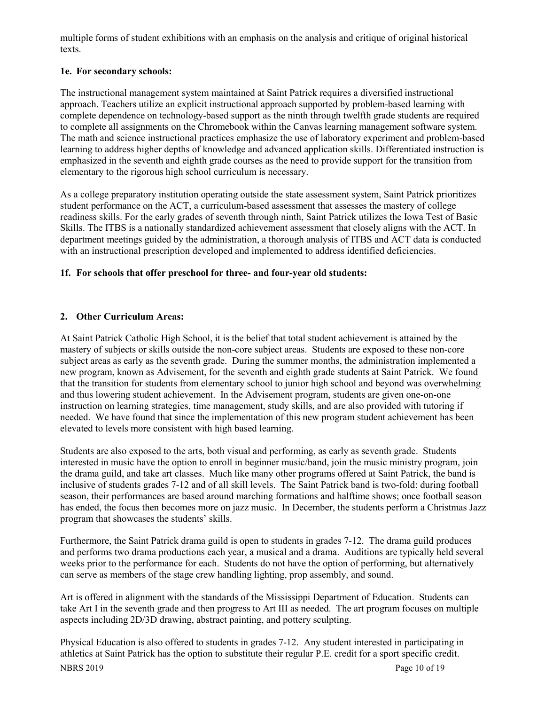multiple forms of student exhibitions with an emphasis on the analysis and critique of original historical texts.

#### **1e. For secondary schools:**

The instructional management system maintained at Saint Patrick requires a diversified instructional approach. Teachers utilize an explicit instructional approach supported by problem-based learning with complete dependence on technology-based support as the ninth through twelfth grade students are required to complete all assignments on the Chromebook within the Canvas learning management software system. The math and science instructional practices emphasize the use of laboratory experiment and problem-based learning to address higher depths of knowledge and advanced application skills. Differentiated instruction is emphasized in the seventh and eighth grade courses as the need to provide support for the transition from elementary to the rigorous high school curriculum is necessary.

As a college preparatory institution operating outside the state assessment system, Saint Patrick prioritizes student performance on the ACT, a curriculum-based assessment that assesses the mastery of college readiness skills. For the early grades of seventh through ninth, Saint Patrick utilizes the Iowa Test of Basic Skills. The ITBS is a nationally standardized achievement assessment that closely aligns with the ACT. In department meetings guided by the administration, a thorough analysis of ITBS and ACT data is conducted with an instructional prescription developed and implemented to address identified deficiencies.

#### **1f. For schools that offer preschool for three- and four-year old students:**

#### **2. Other Curriculum Areas:**

At Saint Patrick Catholic High School, it is the belief that total student achievement is attained by the mastery of subjects or skills outside the non-core subject areas. Students are exposed to these non-core subject areas as early as the seventh grade. During the summer months, the administration implemented a new program, known as Advisement, for the seventh and eighth grade students at Saint Patrick. We found that the transition for students from elementary school to junior high school and beyond was overwhelming and thus lowering student achievement. In the Advisement program, students are given one-on-one instruction on learning strategies, time management, study skills, and are also provided with tutoring if needed. We have found that since the implementation of this new program student achievement has been elevated to levels more consistent with high based learning.

Students are also exposed to the arts, both visual and performing, as early as seventh grade. Students interested in music have the option to enroll in beginner music/band, join the music ministry program, join the drama guild, and take art classes. Much like many other programs offered at Saint Patrick, the band is inclusive of students grades 7-12 and of all skill levels. The Saint Patrick band is two-fold: during football season, their performances are based around marching formations and halftime shows; once football season has ended, the focus then becomes more on jazz music. In December, the students perform a Christmas Jazz program that showcases the students' skills.

Furthermore, the Saint Patrick drama guild is open to students in grades 7-12. The drama guild produces and performs two drama productions each year, a musical and a drama. Auditions are typically held several weeks prior to the performance for each. Students do not have the option of performing, but alternatively can serve as members of the stage crew handling lighting, prop assembly, and sound.

Art is offered in alignment with the standards of the Mississippi Department of Education. Students can take Art I in the seventh grade and then progress to Art III as needed. The art program focuses on multiple aspects including 2D/3D drawing, abstract painting, and pottery sculpting.

NBRS 2019 Page 10 of 19 Physical Education is also offered to students in grades 7-12. Any student interested in participating in athletics at Saint Patrick has the option to substitute their regular P.E. credit for a sport specific credit.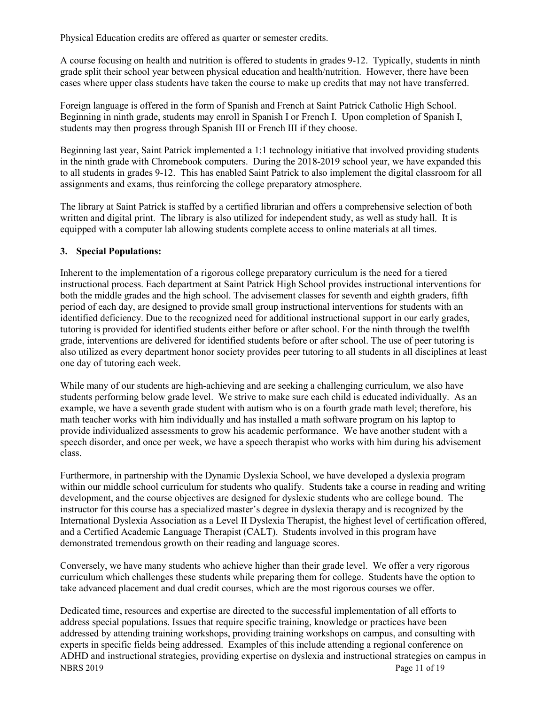Physical Education credits are offered as quarter or semester credits.

A course focusing on health and nutrition is offered to students in grades 9-12. Typically, students in ninth grade split their school year between physical education and health/nutrition. However, there have been cases where upper class students have taken the course to make up credits that may not have transferred.

Foreign language is offered in the form of Spanish and French at Saint Patrick Catholic High School. Beginning in ninth grade, students may enroll in Spanish I or French I. Upon completion of Spanish I, students may then progress through Spanish III or French III if they choose.

Beginning last year, Saint Patrick implemented a 1:1 technology initiative that involved providing students in the ninth grade with Chromebook computers. During the 2018-2019 school year, we have expanded this to all students in grades 9-12. This has enabled Saint Patrick to also implement the digital classroom for all assignments and exams, thus reinforcing the college preparatory atmosphere.

The library at Saint Patrick is staffed by a certified librarian and offers a comprehensive selection of both written and digital print. The library is also utilized for independent study, as well as study hall. It is equipped with a computer lab allowing students complete access to online materials at all times.

#### **3. Special Populations:**

Inherent to the implementation of a rigorous college preparatory curriculum is the need for a tiered instructional process. Each department at Saint Patrick High School provides instructional interventions for both the middle grades and the high school. The advisement classes for seventh and eighth graders, fifth period of each day, are designed to provide small group instructional interventions for students with an identified deficiency. Due to the recognized need for additional instructional support in our early grades, tutoring is provided for identified students either before or after school. For the ninth through the twelfth grade, interventions are delivered for identified students before or after school. The use of peer tutoring is also utilized as every department honor society provides peer tutoring to all students in all disciplines at least one day of tutoring each week.

While many of our students are high-achieving and are seeking a challenging curriculum, we also have students performing below grade level. We strive to make sure each child is educated individually. As an example, we have a seventh grade student with autism who is on a fourth grade math level; therefore, his math teacher works with him individually and has installed a math software program on his laptop to provide individualized assessments to grow his academic performance. We have another student with a speech disorder, and once per week, we have a speech therapist who works with him during his advisement class.

Furthermore, in partnership with the Dynamic Dyslexia School, we have developed a dyslexia program within our middle school curriculum for students who qualify. Students take a course in reading and writing development, and the course objectives are designed for dyslexic students who are college bound. The instructor for this course has a specialized master's degree in dyslexia therapy and is recognized by the International Dyslexia Association as a Level II Dyslexia Therapist, the highest level of certification offered, and a Certified Academic Language Therapist (CALT). Students involved in this program have demonstrated tremendous growth on their reading and language scores.

Conversely, we have many students who achieve higher than their grade level. We offer a very rigorous curriculum which challenges these students while preparing them for college. Students have the option to take advanced placement and dual credit courses, which are the most rigorous courses we offer.

NBRS 2019 Page 11 of 19 Dedicated time, resources and expertise are directed to the successful implementation of all efforts to address special populations. Issues that require specific training, knowledge or practices have been addressed by attending training workshops, providing training workshops on campus, and consulting with experts in specific fields being addressed. Examples of this include attending a regional conference on ADHD and instructional strategies, providing expertise on dyslexia and instructional strategies on campus in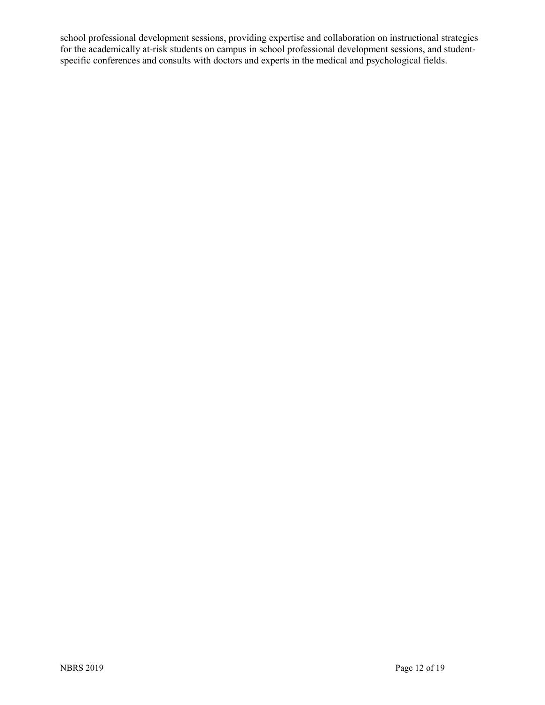school professional development sessions, providing expertise and collaboration on instructional strategies for the academically at-risk students on campus in school professional development sessions, and studentspecific conferences and consults with doctors and experts in the medical and psychological fields.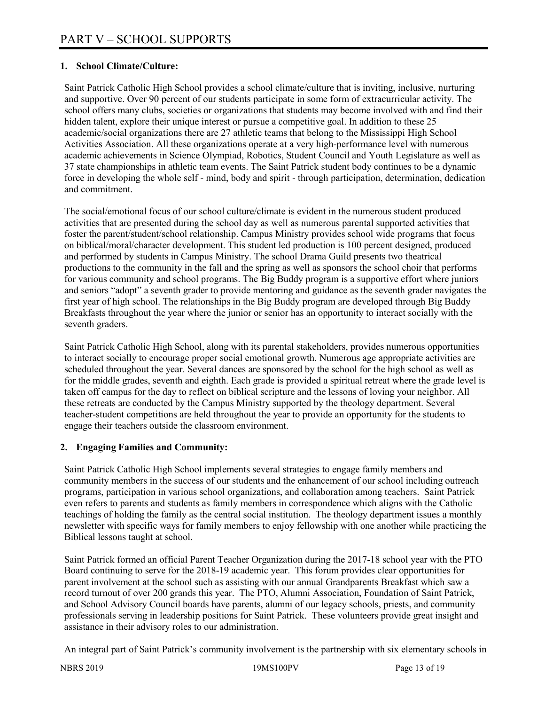#### **1. School Climate/Culture:**

Saint Patrick Catholic High School provides a school climate/culture that is inviting, inclusive, nurturing and supportive. Over 90 percent of our students participate in some form of extracurricular activity. The school offers many clubs, societies or organizations that students may become involved with and find their hidden talent, explore their unique interest or pursue a competitive goal. In addition to these 25 academic/social organizations there are 27 athletic teams that belong to the Mississippi High School Activities Association. All these organizations operate at a very high-performance level with numerous academic achievements in Science Olympiad, Robotics, Student Council and Youth Legislature as well as 37 state championships in athletic team events. The Saint Patrick student body continues to be a dynamic force in developing the whole self - mind, body and spirit - through participation, determination, dedication and commitment.

The social/emotional focus of our school culture/climate is evident in the numerous student produced activities that are presented during the school day as well as numerous parental supported activities that foster the parent/student/school relationship. Campus Ministry provides school wide programs that focus on biblical/moral/character development. This student led production is 100 percent designed, produced and performed by students in Campus Ministry. The school Drama Guild presents two theatrical productions to the community in the fall and the spring as well as sponsors the school choir that performs for various community and school programs. The Big Buddy program is a supportive effort where juniors and seniors "adopt" a seventh grader to provide mentoring and guidance as the seventh grader navigates the first year of high school. The relationships in the Big Buddy program are developed through Big Buddy Breakfasts throughout the year where the junior or senior has an opportunity to interact socially with the seventh graders.

Saint Patrick Catholic High School, along with its parental stakeholders, provides numerous opportunities to interact socially to encourage proper social emotional growth. Numerous age appropriate activities are scheduled throughout the year. Several dances are sponsored by the school for the high school as well as for the middle grades, seventh and eighth. Each grade is provided a spiritual retreat where the grade level is taken off campus for the day to reflect on biblical scripture and the lessons of loving your neighbor. All these retreats are conducted by the Campus Ministry supported by the theology department. Several teacher-student competitions are held throughout the year to provide an opportunity for the students to engage their teachers outside the classroom environment.

#### **2. Engaging Families and Community:**

Saint Patrick Catholic High School implements several strategies to engage family members and community members in the success of our students and the enhancement of our school including outreach programs, participation in various school organizations, and collaboration among teachers. Saint Patrick even refers to parents and students as family members in correspondence which aligns with the Catholic teachings of holding the family as the central social institution. The theology department issues a monthly newsletter with specific ways for family members to enjoy fellowship with one another while practicing the Biblical lessons taught at school.

Saint Patrick formed an official Parent Teacher Organization during the 2017-18 school year with the PTO Board continuing to serve for the 2018-19 academic year. This forum provides clear opportunities for parent involvement at the school such as assisting with our annual Grandparents Breakfast which saw a record turnout of over 200 grands this year. The PTO, Alumni Association, Foundation of Saint Patrick, and School Advisory Council boards have parents, alumni of our legacy schools, priests, and community professionals serving in leadership positions for Saint Patrick. These volunteers provide great insight and assistance in their advisory roles to our administration.

An integral part of Saint Patrick's community involvement is the partnership with six elementary schools in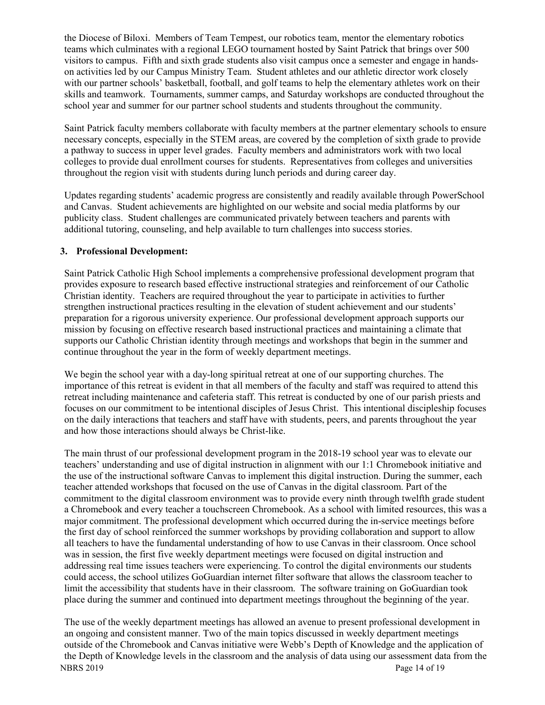the Diocese of Biloxi. Members of Team Tempest, our robotics team, mentor the elementary robotics teams which culminates with a regional LEGO tournament hosted by Saint Patrick that brings over 500 visitors to campus. Fifth and sixth grade students also visit campus once a semester and engage in handson activities led by our Campus Ministry Team. Student athletes and our athletic director work closely with our partner schools' basketball, football, and golf teams to help the elementary athletes work on their skills and teamwork. Tournaments, summer camps, and Saturday workshops are conducted throughout the school year and summer for our partner school students and students throughout the community.

Saint Patrick faculty members collaborate with faculty members at the partner elementary schools to ensure necessary concepts, especially in the STEM areas, are covered by the completion of sixth grade to provide a pathway to success in upper level grades. Faculty members and administrators work with two local colleges to provide dual enrollment courses for students. Representatives from colleges and universities throughout the region visit with students during lunch periods and during career day.

Updates regarding students' academic progress are consistently and readily available through PowerSchool and Canvas. Student achievements are highlighted on our website and social media platforms by our publicity class. Student challenges are communicated privately between teachers and parents with additional tutoring, counseling, and help available to turn challenges into success stories.

#### **3. Professional Development:**

Saint Patrick Catholic High School implements a comprehensive professional development program that provides exposure to research based effective instructional strategies and reinforcement of our Catholic Christian identity. Teachers are required throughout the year to participate in activities to further strengthen instructional practices resulting in the elevation of student achievement and our students' preparation for a rigorous university experience. Our professional development approach supports our mission by focusing on effective research based instructional practices and maintaining a climate that supports our Catholic Christian identity through meetings and workshops that begin in the summer and continue throughout the year in the form of weekly department meetings.

We begin the school year with a day-long spiritual retreat at one of our supporting churches. The importance of this retreat is evident in that all members of the faculty and staff was required to attend this retreat including maintenance and cafeteria staff. This retreat is conducted by one of our parish priests and focuses on our commitment to be intentional disciples of Jesus Christ. This intentional discipleship focuses on the daily interactions that teachers and staff have with students, peers, and parents throughout the year and how those interactions should always be Christ-like.

The main thrust of our professional development program in the 2018-19 school year was to elevate our teachers' understanding and use of digital instruction in alignment with our 1:1 Chromebook initiative and the use of the instructional software Canvas to implement this digital instruction. During the summer, each teacher attended workshops that focused on the use of Canvas in the digital classroom. Part of the commitment to the digital classroom environment was to provide every ninth through twelfth grade student a Chromebook and every teacher a touchscreen Chromebook. As a school with limited resources, this was a major commitment. The professional development which occurred during the in-service meetings before the first day of school reinforced the summer workshops by providing collaboration and support to allow all teachers to have the fundamental understanding of how to use Canvas in their classroom. Once school was in session, the first five weekly department meetings were focused on digital instruction and addressing real time issues teachers were experiencing. To control the digital environments our students could access, the school utilizes GoGuardian internet filter software that allows the classroom teacher to limit the accessibility that students have in their classroom. The software training on GoGuardian took place during the summer and continued into department meetings throughout the beginning of the year.

NBRS 2019 Page 14 of 19 The use of the weekly department meetings has allowed an avenue to present professional development in an ongoing and consistent manner. Two of the main topics discussed in weekly department meetings outside of the Chromebook and Canvas initiative were Webb's Depth of Knowledge and the application of the Depth of Knowledge levels in the classroom and the analysis of data using our assessment data from the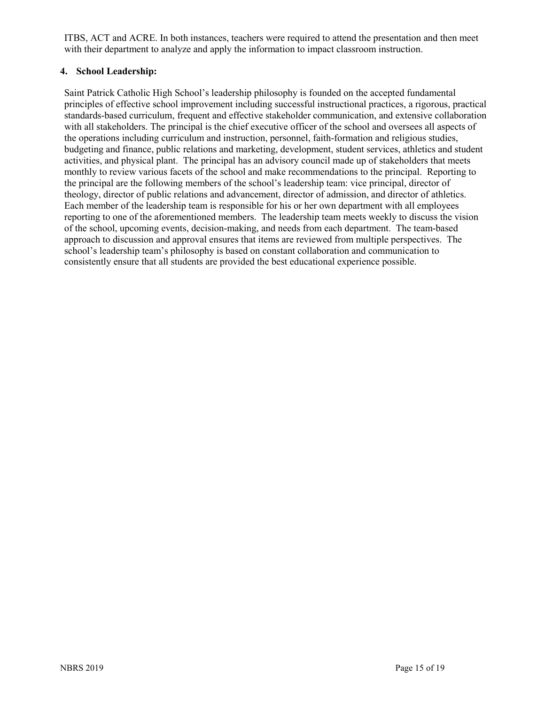ITBS, ACT and ACRE. In both instances, teachers were required to attend the presentation and then meet with their department to analyze and apply the information to impact classroom instruction.

#### **4. School Leadership:**

Saint Patrick Catholic High School's leadership philosophy is founded on the accepted fundamental principles of effective school improvement including successful instructional practices, a rigorous, practical standards-based curriculum, frequent and effective stakeholder communication, and extensive collaboration with all stakeholders. The principal is the chief executive officer of the school and oversees all aspects of the operations including curriculum and instruction, personnel, faith-formation and religious studies, budgeting and finance, public relations and marketing, development, student services, athletics and student activities, and physical plant. The principal has an advisory council made up of stakeholders that meets monthly to review various facets of the school and make recommendations to the principal. Reporting to the principal are the following members of the school's leadership team: vice principal, director of theology, director of public relations and advancement, director of admission, and director of athletics. Each member of the leadership team is responsible for his or her own department with all employees reporting to one of the aforementioned members. The leadership team meets weekly to discuss the vision of the school, upcoming events, decision-making, and needs from each department. The team-based approach to discussion and approval ensures that items are reviewed from multiple perspectives. The school's leadership team's philosophy is based on constant collaboration and communication to consistently ensure that all students are provided the best educational experience possible.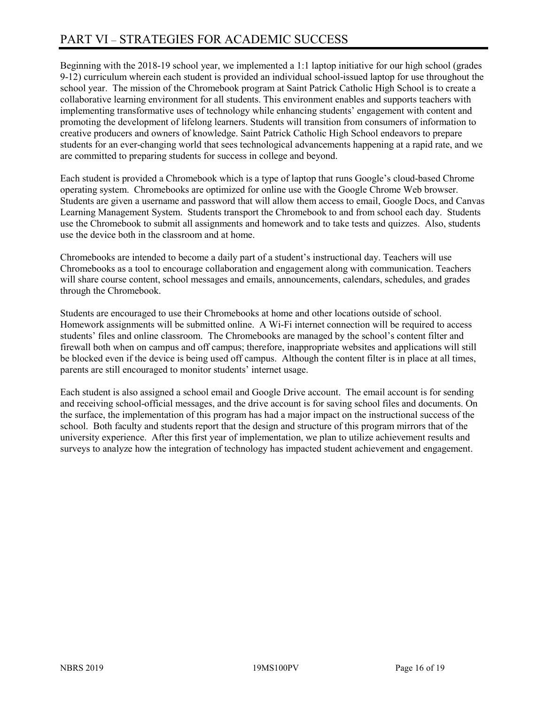Beginning with the 2018-19 school year, we implemented a 1:1 laptop initiative for our high school (grades 9-12) curriculum wherein each student is provided an individual school-issued laptop for use throughout the school year. The mission of the Chromebook program at Saint Patrick Catholic High School is to create a collaborative learning environment for all students. This environment enables and supports teachers with implementing transformative uses of technology while enhancing students' engagement with content and promoting the development of lifelong learners. Students will transition from consumers of information to creative producers and owners of knowledge. Saint Patrick Catholic High School endeavors to prepare students for an ever-changing world that sees technological advancements happening at a rapid rate, and we are committed to preparing students for success in college and beyond.

Each student is provided a Chromebook which is a type of laptop that runs Google's cloud-based Chrome operating system. Chromebooks are optimized for online use with the Google Chrome Web browser. Students are given a username and password that will allow them access to email, Google Docs, and Canvas Learning Management System. Students transport the Chromebook to and from school each day. Students use the Chromebook to submit all assignments and homework and to take tests and quizzes. Also, students use the device both in the classroom and at home.

Chromebooks are intended to become a daily part of a student's instructional day. Teachers will use Chromebooks as a tool to encourage collaboration and engagement along with communication. Teachers will share course content, school messages and emails, announcements, calendars, schedules, and grades through the Chromebook.

Students are encouraged to use their Chromebooks at home and other locations outside of school. Homework assignments will be submitted online. A Wi-Fi internet connection will be required to access students' files and online classroom. The Chromebooks are managed by the school's content filter and firewall both when on campus and off campus; therefore, inappropriate websites and applications will still be blocked even if the device is being used off campus. Although the content filter is in place at all times, parents are still encouraged to monitor students' internet usage.

Each student is also assigned a school email and Google Drive account. The email account is for sending and receiving school-official messages, and the drive account is for saving school files and documents. On the surface, the implementation of this program has had a major impact on the instructional success of the school. Both faculty and students report that the design and structure of this program mirrors that of the university experience. After this first year of implementation, we plan to utilize achievement results and surveys to analyze how the integration of technology has impacted student achievement and engagement.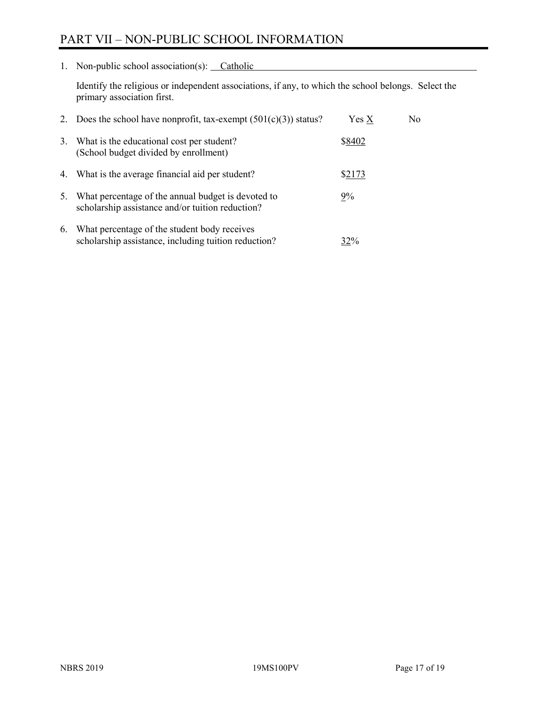## PART VII – NON-PUBLIC SCHOOL INFORMATION

1. Non-public school association(s): Catholic

Identify the religious or independent associations, if any, to which the school belongs. Select the primary association first.

| 2. | Does the school have nonprofit, tax-exempt $(501(c)(3))$ status?                                       | $Yes\ X$ | No. |
|----|--------------------------------------------------------------------------------------------------------|----------|-----|
| 3. | What is the educational cost per student?<br>(School budget divided by enrollment)                     | \$8402   |     |
|    | 4. What is the average financial aid per student?                                                      | \$2173   |     |
| 5. | What percentage of the annual budget is devoted to<br>scholarship assistance and/or tuition reduction? | $9\%$    |     |
| 6. | What percentage of the student body receives<br>scholarship assistance, including tuition reduction?   | 32%      |     |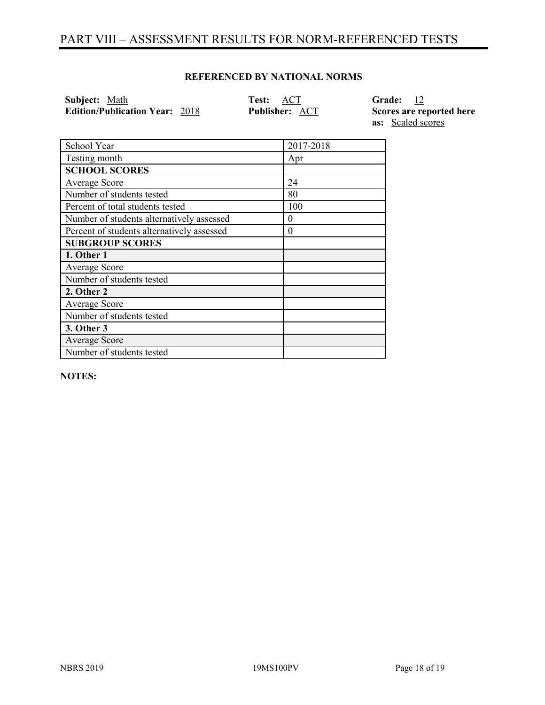## PART VIII – ASSESSMENT RESULTS FOR NORM-REFERENCED TESTS

#### **REFERENCED BY NATIONAL NORMS**

| Subject: Math                         | Test: ACT             | Grade: 12                |
|---------------------------------------|-----------------------|--------------------------|
| <b>Edition/Publication Year: 2018</b> | <b>Publisher: ACT</b> | Scores are reported here |
|                                       |                       | <b>as:</b> Scaled scores |

| School Year                                | 2017-2018 |
|--------------------------------------------|-----------|
| Testing month                              | Apr       |
| <b>SCHOOL SCORES</b>                       |           |
| Average Score                              | 24        |
| Number of students tested                  | 80        |
| Percent of total students tested           | 100       |
| Number of students alternatively assessed  | $\theta$  |
| Percent of students alternatively assessed | $\theta$  |
| <b>SUBGROUP SCORES</b>                     |           |
| 1. Other 1                                 |           |
| Average Score                              |           |
| Number of students tested                  |           |
| 2. Other 2                                 |           |
| Average Score                              |           |
| Number of students tested                  |           |
| 3. Other 3                                 |           |
| <b>Average Score</b>                       |           |
| Number of students tested                  |           |

**NOTES:**